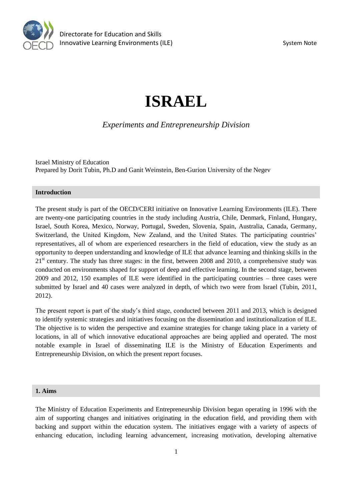

# **ISRAEL**

*Experiments and Entrepreneurship Division*

Israel Ministry of Education Prepared by Dorit Tubin, Ph.D and Ganit Weinstein, Ben-Gurion University of the Negev

# **Introduction**

The present study is part of the OECD/CERI initiative on Innovative Learning Environments (ILE). There are twenty-one participating countries in the study including Austria, Chile, Denmark, Finland, Hungary, Israel, South Korea, Mexico, Norway, Portugal, Sweden, Slovenia, Spain, Australia, Canada, Germany, Switzerland, the United Kingdom, New Zealand, and the United States. The participating countries' representatives, all of whom are experienced researchers in the field of education, view the study as an opportunity to deepen understanding and knowledge of ILE that advance learning and thinking skills in the 21<sup>st</sup> century. The study has three stages: in the first, between 2008 and 2010, a comprehensive study was conducted on environments shaped for support of deep and effective learning. In the second stage, between 2009 and 2012, 150 examples of ILE were identified in the participating countries – three cases were submitted by Israel and 40 cases were analyzed in depth, of which two were from Israel (Tubin, 2011, 2012).

The present report is part of the study's third stage, conducted between 2011 and 2013, which is designed to identify systemic strategies and initiatives focusing on the dissemination and institutionalization of ILE. The objective is to widen the perspective and examine strategies for change taking place in a variety of locations, in all of which innovative educational approaches are being applied and operated. The most notable example in Israel of disseminating ILE is the Ministry of Education Experiments and Entrepreneurship Division, on which the present report focuses.

# **1. Aims**

The Ministry of Education Experiments and Entrepreneurship Division began operating in 1996 with the aim of supporting changes and initiatives originating in the education field, and providing them with backing and support within the education system. The initiatives engage with a variety of aspects of enhancing education, including learning advancement, increasing motivation, developing alternative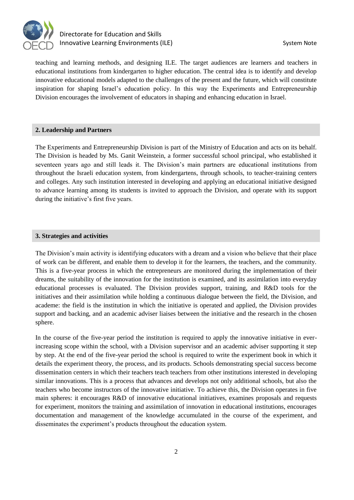

teaching and learning methods, and designing ILE. The target audiences are learners and teachers in educational institutions from kindergarten to higher education. The central idea is to identify and develop innovative educational models adapted to the challenges of the present and the future, which will constitute inspiration for shaping Israel's education policy. In this way the Experiments and Entrepreneurship Division encourages the involvement of educators in shaping and enhancing education in Israel.

# **2. Leadership and Partners**

The Experiments and Entrepreneurship Division is part of the Ministry of Education and acts on its behalf. The Division is headed by Ms. Ganit Weinstein, a former successful school principal, who established it seventeen years ago and still leads it. The Division's main partners are educational institutions from throughout the Israeli education system, from kindergartens, through schools, to teacher-training centers and colleges. Any such institution interested in developing and applying an educational initiative designed to advance learning among its students is invited to approach the Division, and operate with its support during the initiative's first five years.

# **3. Strategies and activities**

The Division's main activity is identifying educators with a dream and a vision who believe that their place of work can be different, and enable them to develop it for the learners, the teachers, and the community. This is a five-year process in which the entrepreneurs are monitored during the implementation of their dreams, the suitability of the innovation for the institution is examined, and its assimilation into everyday educational processes is evaluated. The Division provides support, training, and R&D tools for the initiatives and their assimilation while holding a continuous dialogue between the field, the Division, and academe: the field is the institution in which the initiative is operated and applied, the Division provides support and backing, and an academic adviser liaises between the initiative and the research in the chosen sphere.

In the course of the five-year period the institution is required to apply the innovative initiative in everincreasing scope within the school, with a Division supervisor and an academic adviser supporting it step by step. At the end of the five-year period the school is required to write the experiment book in which it details the experiment theory, the process, and its products. Schools demonstrating special success become dissemination centers in which their teachers teach teachers from other institutions interested in developing similar innovations. This is a process that advances and develops not only additional schools, but also the teachers who become instructors of the innovative initiative. To achieve this, the Division operates in five main spheres: it encourages R&D of innovative educational initiatives, examines proposals and requests for experiment, monitors the training and assimilation of innovation in educational institutions, encourages documentation and management of the knowledge accumulated in the course of the experiment, and disseminates the experiment's products throughout the education system.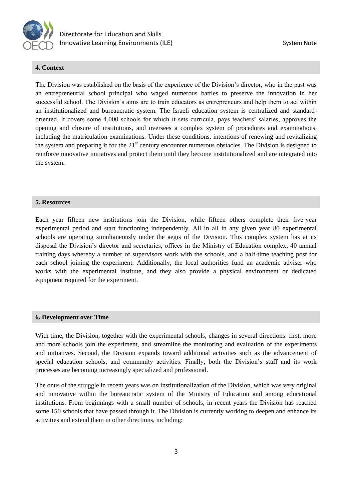

# **4. Context**

The Division was established on the basis of the experience of the Division's director, who in the past was an entrepreneurial school principal who waged numerous battles to preserve the innovation in her successful school. The Division's aims are to train educators as entrepreneurs and help them to act within an institutionalized and bureaucratic system. The Israeli education system is centralized and standardoriented. It covers some 4,000 schools for which it sets curricula, pays teachers' salaries, approves the opening and closure of institutions, and oversees a complex system of procedures and examinations, including the matriculation examinations. Under these conditions, intentions of renewing and revitalizing the system and preparing it for the  $21<sup>st</sup>$  century encounter numerous obstacles. The Division is designed to reinforce innovative initiatives and protect them until they become institutionalized and are integrated into the system.

#### **5. Resources**

Each year fifteen new institutions join the Division, while fifteen others complete their five-year experimental period and start functioning independently. All in all in any given year 80 experimental schools are operating simultaneously under the aegis of the Division. This complex system has at its disposal the Division's director and secretaries, offices in the Ministry of Education complex, 40 annual training days whereby a number of supervisors work with the schools, and a half-time teaching post for each school joining the experiment. Additionally, the local authorities fund an academic adviser who works with the experimental institute, and they also provide a physical environment or dedicated equipment required for the experiment.

# **6. Development over Time**

With time, the Division, together with the experimental schools, changes in several directions: first, more and more schools join the experiment, and streamline the monitoring and evaluation of the experiments and initiatives. Second, the Division expands toward additional activities such as the advancement of special education schools, and community activities. Finally, both the Division's staff and its work processes are becoming increasingly specialized and professional.

The onus of the struggle in recent years was on institutionalization of the Division, which was very original and innovative within the bureaucratic system of the Ministry of Education and among educational institutions. From beginnings with a small number of schools, in recent years the Division has reached some 150 schools that have passed through it. The Division is currently working to deepen and enhance its activities and extend them in other directions, including: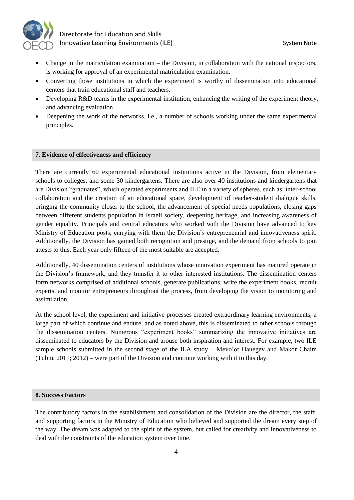

- Change in the matriculation examination the Division, in collaboration with the national inspectors, is working for approval of an experimental matriculation examination.
- Converting those institutions in which the experiment is worthy of dissemination into educational centers that train educational staff and teachers.
- Developing R&D teams in the experimental institution, enhancing the writing of the experiment theory, and advancing evaluation.
- Deepening the work of the networks, i.e., a number of schools working under the same experimental principles.

# **7. Evidence of effectiveness and efficiency**

There are currently 60 experimental educational institutions active in the Division, from elementary schools to colleges, and some 30 kindergartens. There are also over 40 institutions and kindergartens that are Division "graduates", which operated experiments and ILE in a variety of spheres, such as: inter-school collaboration and the creation of an educational space, development of teacher-student dialogue skills, bringing the community closer to the school, the advancement of special needs populations, closing gaps between different students population in Israeli society, deepening heritage, and increasing awareness of gender equality. Principals and central educators who worked with the Division have advanced to key Ministry of Education posts, carrying with them the Division's entrepreneurial and innovativeness spirit. Additionally, the Division has gained both recognition and prestige, and the demand from schools to join attests to this. Each year only fifteen of the most suitable are accepted.

Additionally, 40 dissemination centers of institutions whose innovation experiment has matured operate in the Division's framework, and they transfer it to other interested institutions. The dissemination centers form networks comprised of additional schools, generate publications, write the experiment books, recruit experts, and monitor entrepreneurs throughout the process, from developing the vision to monitoring and assimilation.

At the school level, the experiment and initiative processes created extraordinary learning environments, a large part of which continue and endure, and as noted above, this is disseminated to other schools through the dissemination centers. Numerous "experiment books" summarizing the innovative initiatives are disseminated to educators by the Division and arouse both inspiration and interest. For example, two ILE sample schools submitted in the second stage of the ILA study – Mevo'ot Hanegev and Makor Chaim (Tubin, 2011; 2012) – were part of the Division and continue working with it to this day.

#### **8. Success Factors**

The contributory factors in the establishment and consolidation of the Division are the director, the staff, and supporting factors in the Ministry of Education who believed and supported the dream every step of the way. The dream was adapted to the spirit of the system, but called for creativity and innovativeness to deal with the constraints of the education system over time.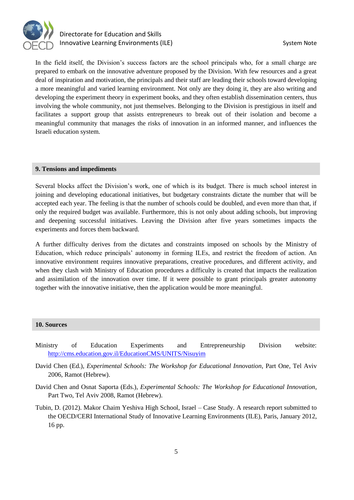

In the field itself, the Division's success factors are the school principals who, for a small charge are prepared to embark on the innovative adventure proposed by the Division. With few resources and a great deal of inspiration and motivation, the principals and their staff are leading their schools toward developing a more meaningful and varied learning environment. Not only are they doing it, they are also writing and developing the experiment theory in experiment books, and they often establish dissemination centers, thus involving the whole community, not just themselves. Belonging to the Division is prestigious in itself and facilitates a support group that assists entrepreneurs to break out of their isolation and become a meaningful community that manages the risks of innovation in an informed manner, and influences the Israeli education system.

# **9. Tensions and impediments**

Several blocks affect the Division's work, one of which is its budget. There is much school interest in joining and developing educational initiatives, but budgetary constraints dictate the number that will be accepted each year. The feeling is that the number of schools could be doubled, and even more than that, if only the required budget was available. Furthermore, this is not only about adding schools, but improving and deepening successful initiatives. Leaving the Division after five years sometimes impacts the experiments and forces them backward.

A further difficulty derives from the dictates and constraints imposed on schools by the Ministry of Education, which reduce principals' autonomy in forming ILEs, and restrict the freedom of action. An innovative environment requires innovative preparations, creative procedures, and different activity, and when they clash with Ministry of Education procedures a difficulty is created that impacts the realization and assimilation of the innovation over time. If it were possible to grant principals greater autonomy together with the innovative initiative, then the application would be more meaningful.

#### **10. Sources**

- Ministry of Education Experiments and Entrepreneurship Division website: <http://cms.education.gov.il/EducationCMS/UNITS/Nisuyim>
- David Chen (Ed.), *Experimental Schools: The Workshop for Educational Innovation*, Part One, Tel Aviv 2006, Ramot (Hebrew).
- David Chen and Osnat Saporta (Eds.), *Experimental Schools: The Workshop for Educational Innovation*, Part Two, Tel Aviv 2008, Ramot (Hebrew).
- Tubin, D. (2012). Makor Chaim Yeshiva High School, Israel Case Study. A research report submitted to the OECD/CERI International Study of Innovative Learning Environments (ILE), Paris, January 2012, 16 pp.